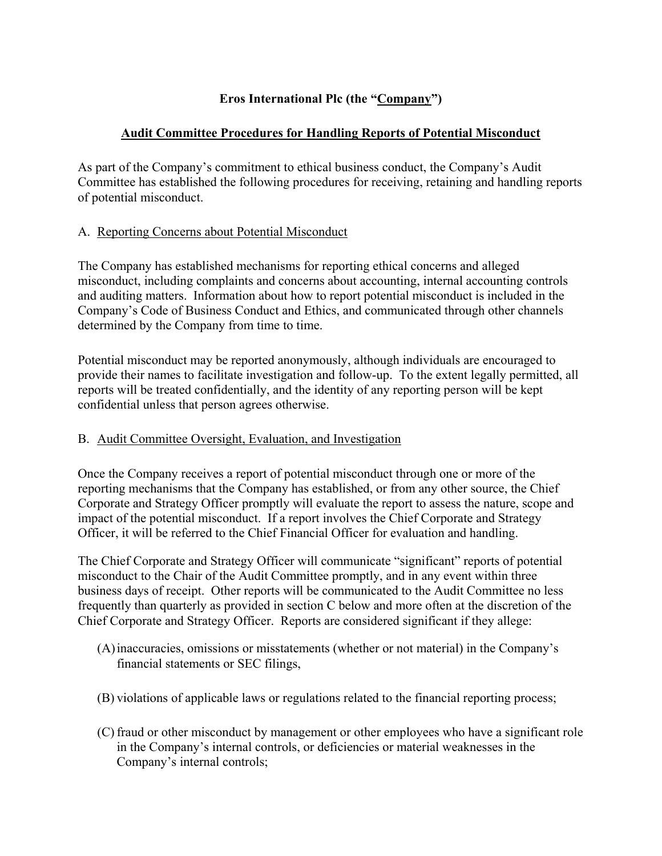# **Eros International Plc (the "Company")**

## **Audit Committee Procedures for Handling Reports of Potential Misconduct**

As part of the Company's commitment to ethical business conduct, the Company's Audit Committee has established the following procedures for receiving, retaining and handling reports of potential misconduct.

## A. Reporting Concerns about Potential Misconduct

The Company has established mechanisms for reporting ethical concerns and alleged misconduct, including complaints and concerns about accounting, internal accounting controls and auditing matters. Information about how to report potential misconduct is included in the Company's Code of Business Conduct and Ethics, and communicated through other channels determined by the Company from time to time.

Potential misconduct may be reported anonymously, although individuals are encouraged to provide their names to facilitate investigation and follow-up. To the extent legally permitted, all reports will be treated confidentially, and the identity of any reporting person will be kept confidential unless that person agrees otherwise.

## B. Audit Committee Oversight, Evaluation, and Investigation

Once the Company receives a report of potential misconduct through one or more of the reporting mechanisms that the Company has established, or from any other source, the Chief Corporate and Strategy Officer promptly will evaluate the report to assess the nature, scope and impact of the potential misconduct. If a report involves the Chief Corporate and Strategy Officer, it will be referred to the Chief Financial Officer for evaluation and handling.

The Chief Corporate and Strategy Officer will communicate "significant" reports of potential misconduct to the Chair of the Audit Committee promptly, and in any event within three business days of receipt. Other reports will be communicated to the Audit Committee no less frequently than quarterly as provided in section C below and more often at the discretion of the Chief Corporate and Strategy Officer. Reports are considered significant if they allege:

- (A)inaccuracies, omissions or misstatements (whether or not material) in the Company's financial statements or SEC filings,
- (B) violations of applicable laws or regulations related to the financial reporting process;
- (C) fraud or other misconduct by management or other employees who have a significant role in the Company's internal controls, or deficiencies or material weaknesses in the Company's internal controls;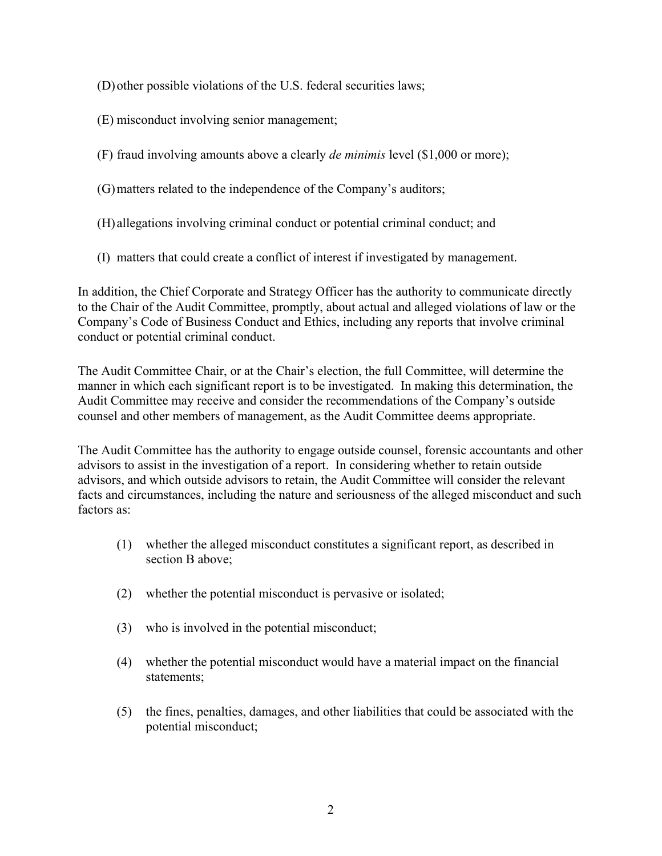- (D)other possible violations of the U.S. federal securities laws;
- (E) misconduct involving senior management;
- (F) fraud involving amounts above a clearly *de minimis* level (\$1,000 or more);
- (G)matters related to the independence of the Company's auditors;
- (H) allegations involving criminal conduct or potential criminal conduct; and
- (I) matters that could create a conflict of interest if investigated by management.

In addition, the Chief Corporate and Strategy Officer has the authority to communicate directly to the Chair of the Audit Committee, promptly, about actual and alleged violations of law or the Company's Code of Business Conduct and Ethics, including any reports that involve criminal conduct or potential criminal conduct.

The Audit Committee Chair, or at the Chair's election, the full Committee, will determine the manner in which each significant report is to be investigated. In making this determination, the Audit Committee may receive and consider the recommendations of the Company's outside counsel and other members of management, as the Audit Committee deems appropriate.

The Audit Committee has the authority to engage outside counsel, forensic accountants and other advisors to assist in the investigation of a report. In considering whether to retain outside advisors, and which outside advisors to retain, the Audit Committee will consider the relevant facts and circumstances, including the nature and seriousness of the alleged misconduct and such factors as:

- (1) whether the alleged misconduct constitutes a significant report, as described in section B above;
- (2) whether the potential misconduct is pervasive or isolated;
- (3) who is involved in the potential misconduct;
- (4) whether the potential misconduct would have a material impact on the financial statements;
- (5) the fines, penalties, damages, and other liabilities that could be associated with the potential misconduct;